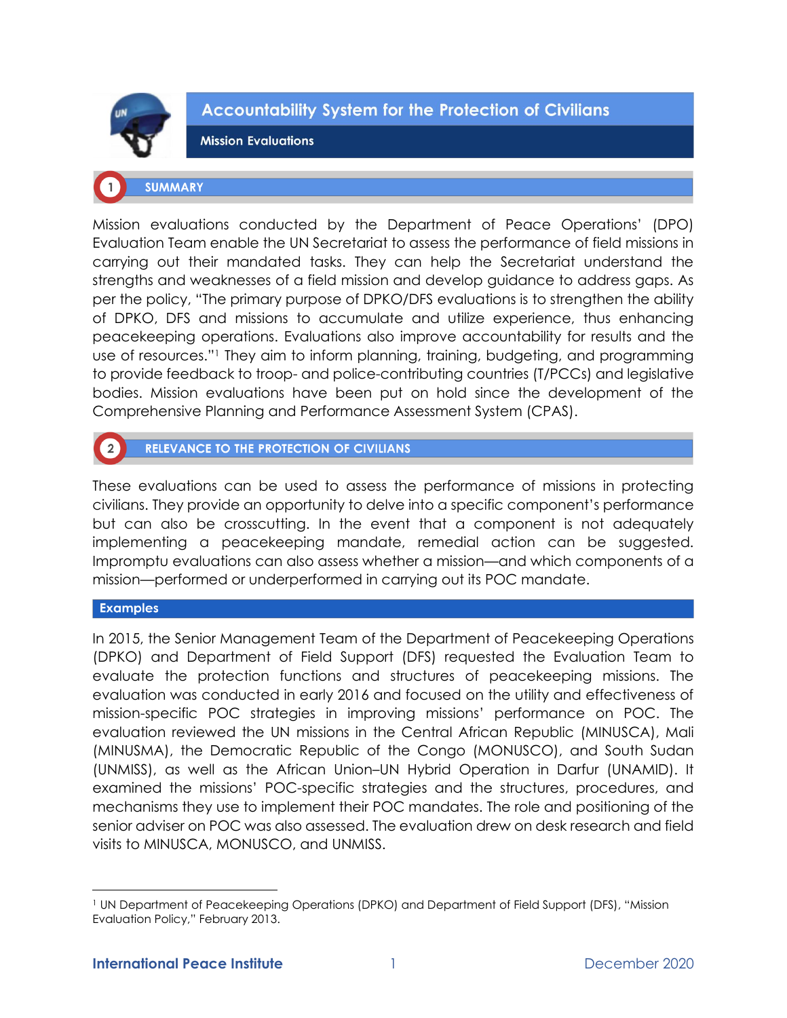

**Accountability System for the Protection of Civilians** 

**Mission Evaluations** 

# **SUMMARY**

Mission evaluations conducted by the Department of Peace Operations' (DPO) Evaluation Team enable the UN Secretariat to assess the performance of field missions in carrying out their mandated tasks. They can help the Secretariat understand the strengths and weaknesses of a field mission and develop guidance to address gaps. As per the policy, "The primary purpose of DPKO/DFS evaluations is to strengthen the ability of DPKO, DFS and missions to accumulate and utilize experience, thus enhancing peacekeeping operations. Evaluations also improve accountability for results and the use of resources."<sup>1</sup> They aim to inform planning, training, budgeting, and programming to provide feedback to troop- and police-contributing countries (T/PCCs) and legislative bodies. Mission evaluations have been put on hold since the development of the Comprehensive Planning and Performance Assessment System (CPAS).

**RELEVANCE TO THE PROTECTION OF CIVILIANS** 

These evaluations can be used to assess the performance of missions in protecting civilians. They provide an opportunity to delve into a specific component's performance but can also be crosscutting. In the event that a component is not adequately implementing a peacekeeping mandate, remedial action can be suggested. Impromptu evaluations can also assess whether a mission—and which components of a mission—performed or underperformed in carrying out its POC mandate.

# **Examples**

In 2015, the Senior Management Team of the Department of Peacekeeping Operations (DPKO) and Department of Field Support (DFS) requested the Evaluation Team to evaluate the protection functions and structures of peacekeeping missions. The evaluation was conducted in early 2016 and focused on the utility and effectiveness of mission-specific POC strategies in improving missions' performance on POC. The evaluation reviewed the UN missions in the Central African Republic (MINUSCA), Mali (MINUSMA), the Democratic Republic of the Congo (MONUSCO), and South Sudan (UNMISS), as well as the African Union–UN Hybrid Operation in Darfur (UNAMID). It examined the missions' POC-specific strategies and the structures, procedures, and mechanisms they use to implement their POC mandates. The role and positioning of the senior adviser on POC was also assessed. The evaluation drew on desk research and field visits to MINUSCA, MONUSCO, and UNMISS.

<sup>1</sup> UN Department of Peacekeeping Operations (DPKO) and Department of Field Support (DFS), "Mission Evaluation Policy," February 2013.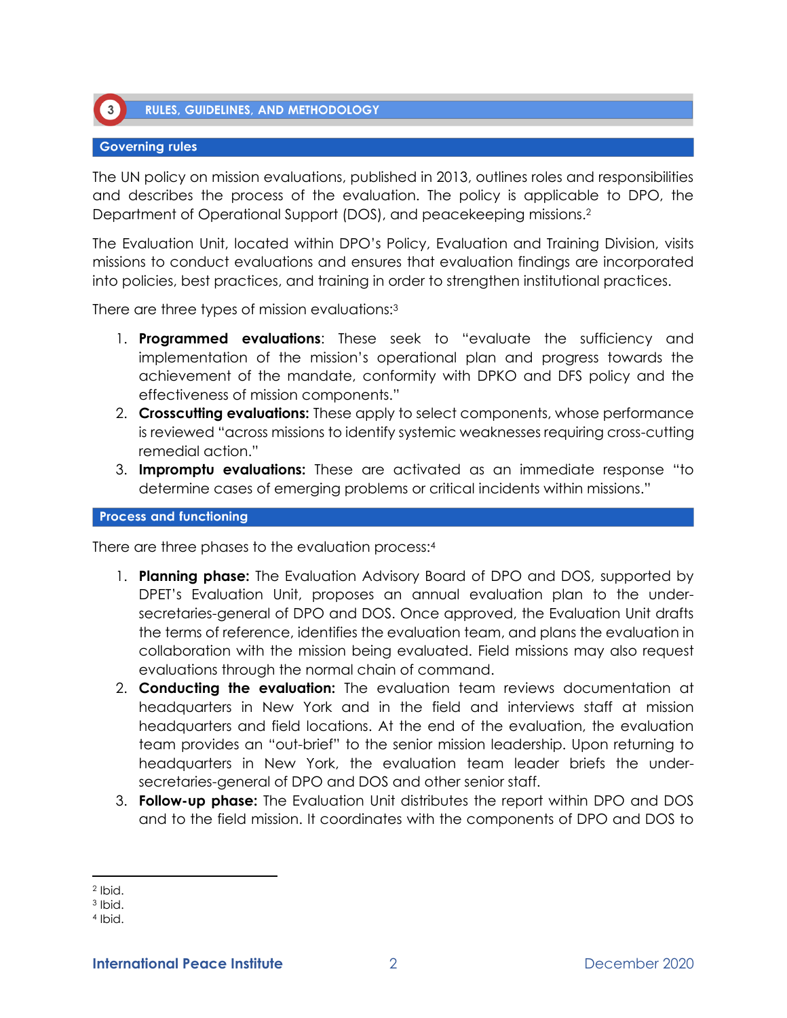

### **Governing rules**

 $\left(3\right)$ 

The UN policy on mission evaluations, published in 2013, outlines roles and responsibilities and describes the process of the evaluation. The policy is applicable to DPO, the Department of Operational Support (DOS), and peacekeeping missions.<sup>2</sup>

The Evaluation Unit, located within DPO's Policy, Evaluation and Training Division, visits missions to conduct evaluations and ensures that evaluation findings are incorporated into policies, best practices, and training in order to strengthen institutional practices.

There are three types of mission evaluations:<sup>3</sup>

- 1. **Programmed evaluations**: These seek to "evaluate the sufficiency and implementation of the mission's operational plan and progress towards the achievement of the mandate, conformity with DPKO and DFS policy and the effectiveness of mission components."
- 2. **Crosscutting evaluations:** These apply to select components, whose performance is reviewed "across missions to identify systemic weaknesses requiring cross-cutting remedial action."
- 3. **Impromptu evaluations:** These are activated as an immediate response "to determine cases of emerging problems or critical incidents within missions."

#### **Process and functioning**

There are three phases to the evaluation process:<sup>4</sup>

- 1. **Planning phase:** The Evaluation Advisory Board of DPO and DOS, supported by DPET's Evaluation Unit, proposes an annual evaluation plan to the undersecretaries-general of DPO and DOS. Once approved, the Evaluation Unit drafts the terms of reference, identifies the evaluation team, and plans the evaluation in collaboration with the mission being evaluated. Field missions may also request evaluations through the normal chain of command.
- 2. **Conducting the evaluation:** The evaluation team reviews documentation at headquarters in New York and in the field and interviews staff at mission headquarters and field locations. At the end of the evaluation, the evaluation team provides an "out-brief" to the senior mission leadership. Upon returning to headquarters in New York, the evaluation team leader briefs the undersecretaries-general of DPO and DOS and other senior staff.
- 3. **Follow-up phase:** The Evaluation Unit distributes the report within DPO and DOS and to the field mission. It coordinates with the components of DPO and DOS to

<sup>2</sup> Ibid.

<sup>3</sup> Ibid.

<sup>4</sup> Ibid.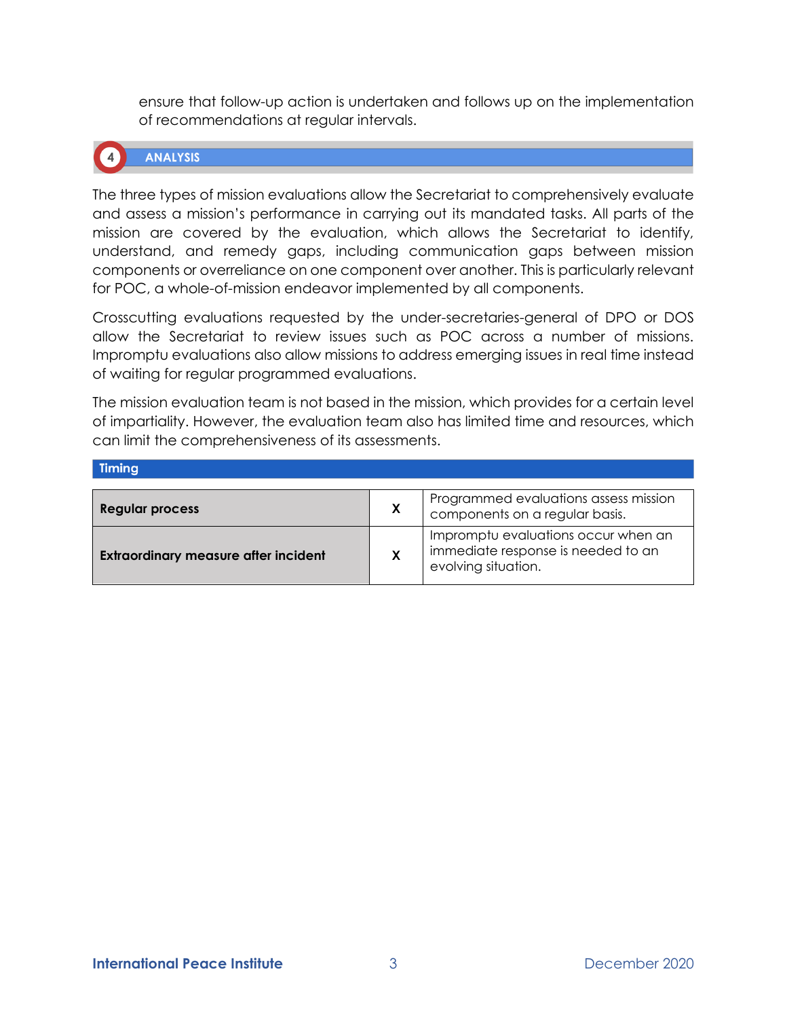ensure that follow-up action is undertaken and follows up on the implementation of recommendations at regular intervals.



# **ANALYSIS**

The three types of mission evaluations allow the Secretariat to comprehensively evaluate and assess a mission's performance in carrying out its mandated tasks. All parts of the mission are covered by the evaluation, which allows the Secretariat to identify, understand, and remedy gaps, including communication gaps between mission components or overreliance on one component over another. This is particularly relevant for POC, a whole-of-mission endeavor implemented by all components.

Crosscutting evaluations requested by the under-secretaries-general of DPO or DOS allow the Secretariat to review issues such as POC across a number of missions. Impromptu evaluations also allow missions to address emerging issues in real time instead of waiting for regular programmed evaluations.

The mission evaluation team is not based in the mission, which provides for a certain level of impartiality. However, the evaluation team also has limited time and resources, which can limit the comprehensiveness of its assessments.

| - 111111114                                 |   |                                                                                                  |
|---------------------------------------------|---|--------------------------------------------------------------------------------------------------|
|                                             |   |                                                                                                  |
| <b>Regular process</b>                      | X | Programmed evaluations assess mission<br>components on a regular basis.                          |
| <b>Extraordinary measure after incident</b> | X | Impromptu evaluations occur when an<br>immediate response is needed to an<br>evolving situation. |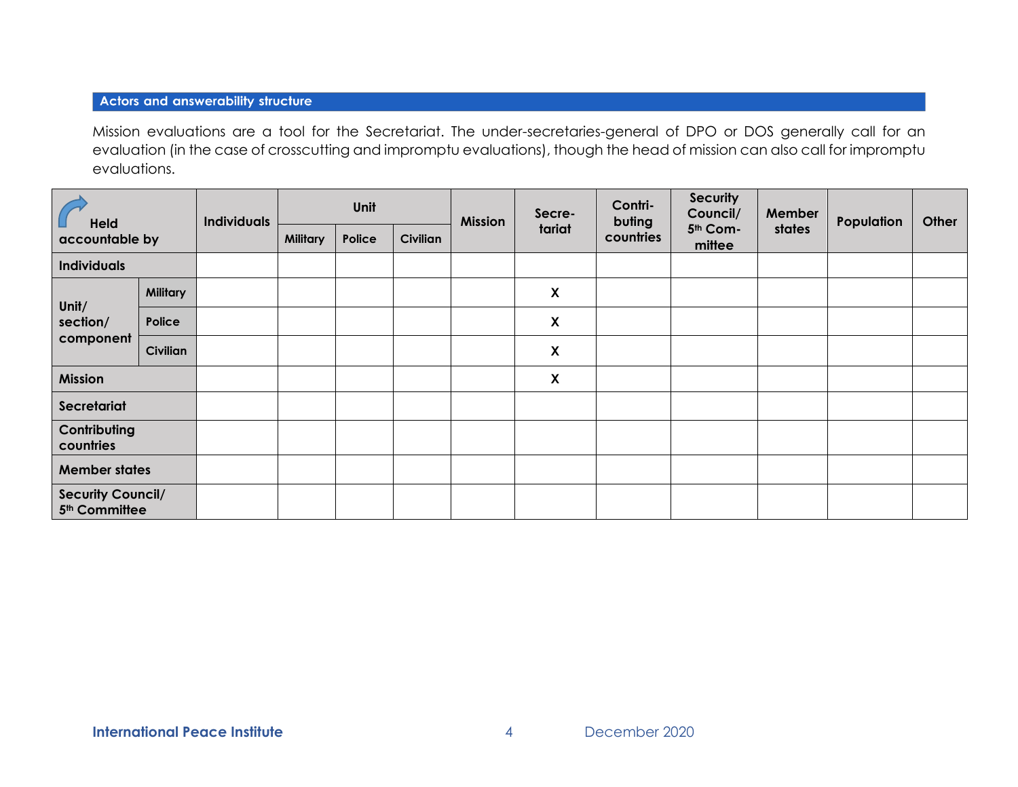## **Actors and answerability structure**

Mission evaluations are a tool for the Secretariat. The under-secretaries-general of DPO or DOS generally call for an evaluation (in the case of crosscutting and impromptu evaluations), though the head of mission can also call for impromptu evaluations.

| <b>Held</b><br>accountable by                         |                 | <b>Individuals</b> | Unit            |        |                 | <b>Mission</b> | Secre-                    | Contri-<br>buting | <b>Security</b><br>Council/ | Member | Population | Other |
|-------------------------------------------------------|-----------------|--------------------|-----------------|--------|-----------------|----------------|---------------------------|-------------------|-----------------------------|--------|------------|-------|
|                                                       |                 |                    | <b>Military</b> | Police | <b>Civilian</b> |                | tariat                    | countries         | 5th Com-<br>mittee          | states |            |       |
| <b>Individuals</b>                                    |                 |                    |                 |        |                 |                |                           |                   |                             |        |            |       |
| Unit/<br>section/<br>component                        | Military        |                    |                 |        |                 |                | X                         |                   |                             |        |            |       |
|                                                       | Police          |                    |                 |        |                 |                | $\boldsymbol{\mathsf{X}}$ |                   |                             |        |            |       |
|                                                       | <b>Civilian</b> |                    |                 |        |                 |                | $\boldsymbol{\mathsf{X}}$ |                   |                             |        |            |       |
| <b>Mission</b>                                        |                 |                    |                 |        |                 |                | $\boldsymbol{\mathsf{X}}$ |                   |                             |        |            |       |
| Secretariat                                           |                 |                    |                 |        |                 |                |                           |                   |                             |        |            |       |
| Contributing<br>countries                             |                 |                    |                 |        |                 |                |                           |                   |                             |        |            |       |
| <b>Member states</b>                                  |                 |                    |                 |        |                 |                |                           |                   |                             |        |            |       |
| <b>Security Council/</b><br>5 <sup>th</sup> Committee |                 |                    |                 |        |                 |                |                           |                   |                             |        |            |       |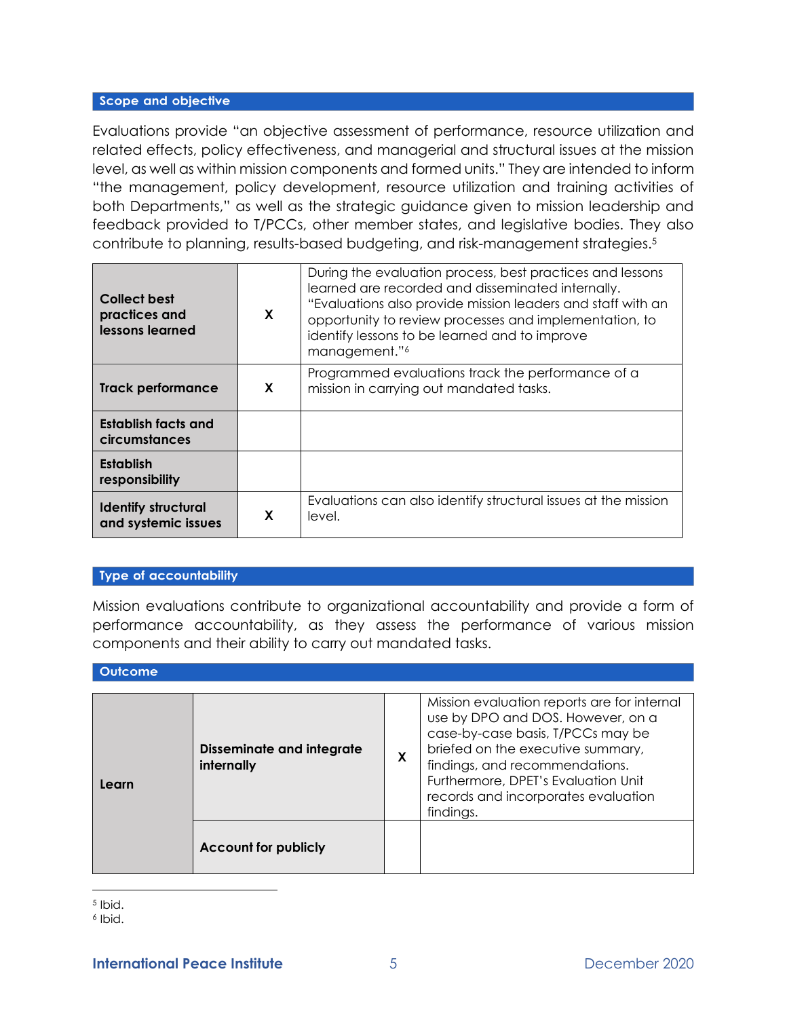#### Scope and objective

Evaluations provide "an objective assessment of performance, resource utilization and related effects, policy effectiveness, and managerial and structural issues at the mission level, as well as within mission components and formed units." They are intended to inform "the management, policy development, resource utilization and training activities of both Departments," as well as the strategic guidance given to mission leadership and feedback provided to T/PCCs, other member states, and legislative bodies. They also contribute to planning, results-based budgeting, and risk-management strategies.<sup>5</sup>

| Collect best<br>practices and<br>lessons learned  | X | During the evaluation process, best practices and lessons<br>learned are recorded and disseminated internally.<br>"Evaluations also provide mission leaders and staff with an<br>opportunity to review processes and implementation, to<br>identify lessons to be learned and to improve<br>management."6 |
|---------------------------------------------------|---|-----------------------------------------------------------------------------------------------------------------------------------------------------------------------------------------------------------------------------------------------------------------------------------------------------------|
| Track performance                                 | X | Programmed evaluations track the performance of a<br>mission in carrying out mandated tasks.                                                                                                                                                                                                              |
| Establish facts and<br>circumstances              |   |                                                                                                                                                                                                                                                                                                           |
| <b>Establish</b><br>responsibility                |   |                                                                                                                                                                                                                                                                                                           |
| <b>Identify structural</b><br>and systemic issues | X | Evaluations can also identify structural issues at the mission<br>level.                                                                                                                                                                                                                                  |

#### Type of accountability

Mission evaluations contribute to organizational accountability and provide a form of performance accountability, as they assess the performance of various mission components and their ability to carry out mandated tasks.

#### **Outcome**

| Learn | <b>Disseminate and integrate</b><br>internally |  | Mission evaluation reports are for internal<br>use by DPO and DOS. However, on a<br>case-by-case basis, T/PCCs may be<br>briefed on the executive summary,<br>findings, and recommendations.<br>Furthermore, DPET's Evaluation Unit<br>records and incorporates evaluation<br>findings. |  |
|-------|------------------------------------------------|--|-----------------------------------------------------------------------------------------------------------------------------------------------------------------------------------------------------------------------------------------------------------------------------------------|--|
|       | <b>Account for publicly</b>                    |  |                                                                                                                                                                                                                                                                                         |  |

5 Ibid.

6 Ibid.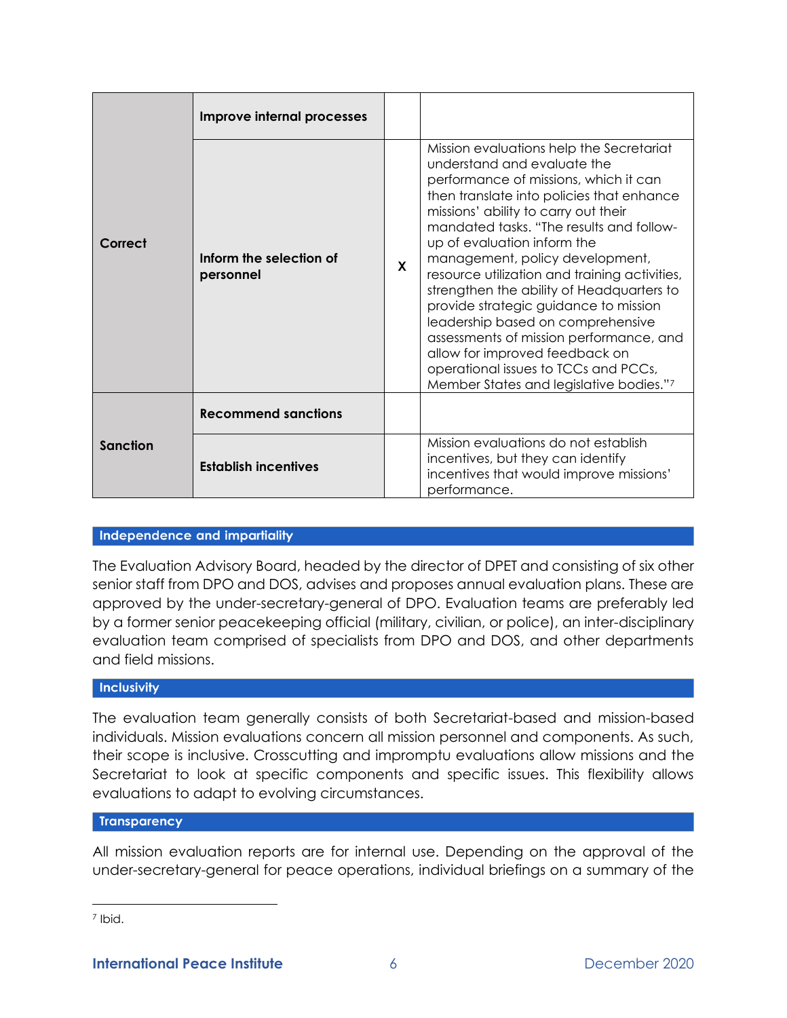|                 | Improve internal processes           |  |                                                                                                                                                                                                                                                                                                                                                                                                                                                                                                                                                                                                                                                                 |
|-----------------|--------------------------------------|--|-----------------------------------------------------------------------------------------------------------------------------------------------------------------------------------------------------------------------------------------------------------------------------------------------------------------------------------------------------------------------------------------------------------------------------------------------------------------------------------------------------------------------------------------------------------------------------------------------------------------------------------------------------------------|
| Correct         | Inform the selection of<br>personnel |  | Mission evaluations help the Secretariat<br>understand and evaluate the<br>performance of missions, which it can<br>then translate into policies that enhance<br>missions' ability to carry out their<br>mandated tasks. "The results and follow-<br>up of evaluation inform the<br>management, policy development,<br>resource utilization and training activities,<br>strengthen the ability of Headquarters to<br>provide strategic guidance to mission<br>leadership based on comprehensive<br>assessments of mission performance, and<br>allow for improved feedback on<br>operational issues to TCCs and PCCs,<br>Member States and legislative bodies."7 |
|                 | <b>Recommend sanctions</b>           |  |                                                                                                                                                                                                                                                                                                                                                                                                                                                                                                                                                                                                                                                                 |
| <b>Sanction</b> | <b>Establish incentives</b>          |  | Mission evaluations do not establish<br>incentives, but they can identify<br>incentives that would improve missions'<br>performance.                                                                                                                                                                                                                                                                                                                                                                                                                                                                                                                            |

## Independence and impartiality

The Evaluation Advisory Board, headed by the director of DPET and consisting of six other senior staff from DPO and DOS, advises and proposes annual evaluation plans. These are approved by the under-secretary-general of DPO. Evaluation teams are preferably led by a former senior peacekeeping official (military, civilian, or police), an inter-disciplinary evaluation team comprised of specialists from DPO and DOS, and other departments and field missions.

#### Inclusivity

The evaluation team generally consists of both Secretariat-based and mission-based individuals. Mission evaluations concern all mission personnel and components. As such, their scope is inclusive. Crosscutting and impromptu evaluations allow missions and the Secretariat to look at specific components and specific issues. This flexibility allows evaluations to adapt to evolving circumstances.

### **Transparency**

All mission evaluation reports are for internal use. Depending on the approval of the under-secretary-general for peace operations, individual briefings on a summary of the

<sup>&</sup>lt;sup>7</sup> Ibid.